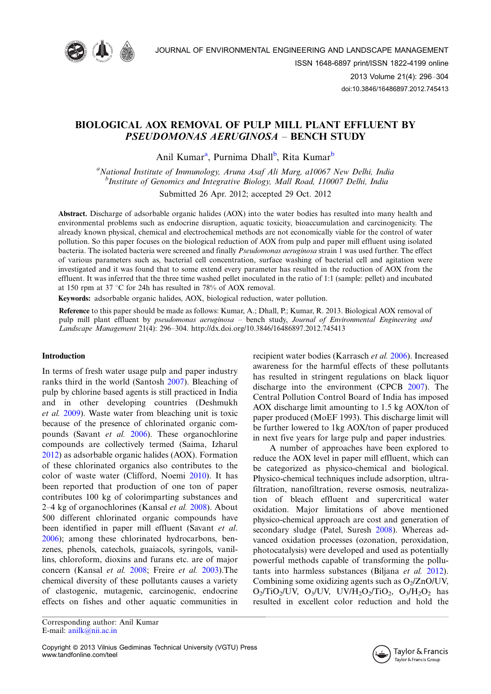

# BIOLOGICAL AOX REMOVAL OF PULP MILL PLANT EFFLUENT BY PSEUDOMONAS AERUGINOSA - BENCH STUDY

Anil Kumar<sup>a</sup>, Purnima Dhall<sup>b</sup>, Rita Kumar<sup>b</sup>

<sup>a</sup>National Institute of Immunology, Aruna Asaf Ali Marg, a10067 New Delhi, India <sup>b</sup>Institute of Genomics and Integrative Biology, Mall Road, 110007 Delhi, India

Submitted 26 Apr. 2012; accepted 29 Oct. 2012

Abstract. Discharge of adsorbable organic halides (AOX) into the water bodies has resulted into many health and environmental problems such as endocrine disruption, aquatic toxicity, bioaccumulation and carcinogenicity. The already known physical, chemical and electrochemical methods are not economically viable for the control of water pollution. So this paper focuses on the biological reduction of AOX from pulp and paper mill effluent using isolated bacteria. The isolated bacteria were screened and finally Pseudomonas aeruginosa strain 1 was used further. The effect of various parameters such as, bacterial cell concentration, surface washing of bacterial cell and agitation were investigated and it was found that to some extend every parameter has resulted in the reduction of AOX from the effluent. It was inferred that the three time washed pellet inoculated in the ratio of 1:1 (sample: pellet) and incubated at 150 rpm at 37 °C for 24h has resulted in 78% of AOX removal.

Keywords: adsorbable organic halides, AOX, biological reduction, water pollution.

Reference to this paper should be made as follows: Kumar, A.; Dhall, P.; Kumar, R. 2013. Biological AOX removal of pulp mill plant effluent by *pseudomonas aeruginosa – bench study, Journal of Environmental Engineering ana* Landscape Management 21(4): 296-304.<http://dx.doi.org/10.3846/16486897.2012.745413>

### Introduction

In terms of fresh water usage pulp and paper industry ranks third in the world (Santosh [2007](#page-8-0)). Bleaching of pulp by chlorine based agents is still practiced in India and in other developing countries (Deshmukh et al. [2009](#page-7-0)). Waste water from bleaching unit is toxic because of the presence of chlorinated organic compounds (Savant et al. [2006\)](#page-8-0). These organochlorine compounds are collectively termed (Saima, Izharul [2012\)](#page-8-0) as adsorbable organic halides (AOX). Formation of these chlorinated organics also contributes to the color of waste water (Clifford, Noemi [2010](#page-7-0)). It has been reported that production of one ton of paper contributes 100 kg of colorimparting substances and 2–4 kg of organochlorines (Kansal *et al.* [2008](#page-7-0)). About 500 different chlorinated organic compounds have been identified in paper mill effluent (Savant et al. [2006\)](#page-8-0); among these chlorinated hydrocarbons, benzenes, phenols, catechols, guaiacols, syringols, vanillins, chloroform, dioxins and furans etc. are of major concern (Kansal et al. [2008;](#page-7-0) Freire et al. [2003](#page-7-0)).The chemical diversity of these pollutants causes a variety of clastogenic, mutagenic, carcinogenic, endocrine effects on fishes and other aquatic communities in

Corresponding author: Anil Kumar E-mail: [anilk@nii.ac.in](mailto:anilk@nii.ac.in)

recipient water bodies (Karrasch et al. [2006](#page-7-0)). Increased awareness for the harmful effects of these pollutants has resulted in stringent regulations on black liquor discharge into the environment (CPCB [2007\)](#page-7-0). The Central Pollution Control Board of India has imposed AOX discharge limit amounting to 1.5 kg AOX/ton of paper produced (MoEF 1993). This discharge limit will be further lowered to 1kg AOX/ton of paper produced in next five years for large pulp and paper industries.

A number of approaches have been explored to reduce the AOX level in paper mill effluent, which can be categorized as physico-chemical and biological. Physico-chemical techniques include adsorption, ultrafiltration, nanofiltration, reverse osmosis, neutralization of bleach effluent and supercritical water oxidation. Major limitations of above mentioned physico-chemical approach are cost and generation of secondary sludge (Patel, Suresh [2008\)](#page-8-0). Whereas advanced oxidation processes (ozonation, peroxidation, photocatalysis) were developed and used as potentially powerful methods capable of transforming the pollutants into harmless substances (Biljana et al. [2012](#page-7-0)). Combining some oxidizing agents such as  $O_2/ZnO/UV$ ,  $O_2/TiO_2/UV$ ,  $O_3/UV$ ,  $UV/H_2O_2/TiO_2$ ,  $O_3/H_2O_2$  has resulted in excellent color reduction and hold the

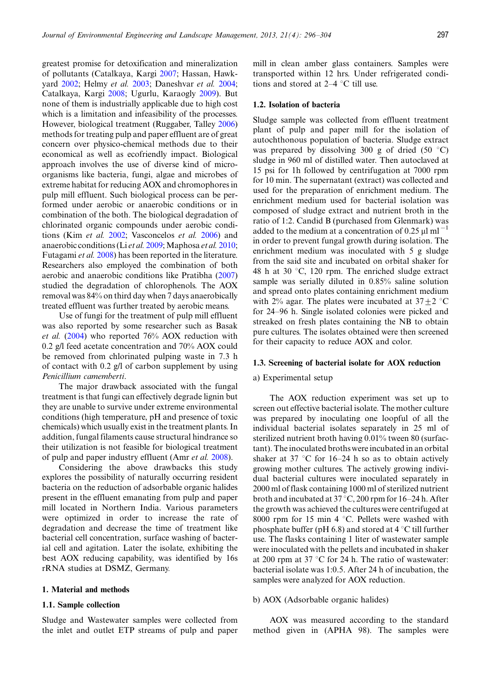greatest promise for detoxification and mineralization of pollutants (Catalkaya, Kargi [2007](#page-7-0); Hassan, Hawkyard [2002;](#page-7-0) Helmy et al. [2003;](#page-7-0) Daneshvar et al. [2004;](#page-7-0) Catalkaya, Kargi [2008](#page-7-0); Ugurlu, Karaogly [2009](#page-8-0)). But none of them is industrially applicable due to high cost which is a limitation and infeasibility of the processes. However, biological treatment (Ruggaber, Talley [2006](#page-8-0)) methods for treating pulp and paper effluent are of great concern over physico-chemical methods due to their economical as well as ecofriendly impact. Biological approach involves the use of diverse kind of microorganisms like bacteria, fungi, algae and microbes of extreme habitat for reducing AOX and chromophores in pulp mill effluent. Such biological process can be performed under aerobic or anaerobic conditions or in combination of the both. The biological degradation of chlorinated organic compounds under aerobic conditions (Kim et al. [2002](#page-7-0); Vasconcelos et al. [2006\)](#page-8-0) and anaerobic conditions (Li et al. [2009;](#page-7-0) Maphosa et al. [2010;](#page-8-0) Futagami et al. [2008\)](#page-7-0) has been reported in the literature. Researchers also employed the combination of both aerobic and anaerobic conditions like Pratibha ([2007](#page-8-0)) studied the degradation of chlorophenols. The AOX removal was 84% on third day when 7 days anaerobically treated effluent was further treated by aerobic means.

Use of fungi for the treatment of pulp mill effluent was also reported by some researcher such as Basak et al. ([2004\)](#page-7-0) who reported 76% AOX reduction with 0.2 g/l feed acetate concentration and 70% AOX could be removed from chlorinated pulping waste in 7.3 h of contact with 0.2 g/l of carbon supplement by using Penicillium camemberti.

The major drawback associated with the fungal treatment is that fungi can effectively degrade lignin but they are unable to survive under extreme environmental conditions (high temperature, pH and presence of toxic chemicals) which usually exist in the treatment plants. In addition, fungal filaments cause structural hindrance so their utilization is not feasible for biological treatment of pulp and paper industry effluent (Amr et al. [2008](#page-7-0)).

Considering the above drawbacks this study explores the possibility of naturally occurring resident bacteria on the reduction of adsorbable organic halides present in the effluent emanating from pulp and paper mill located in Northern India. Various parameters were optimized in order to increase the rate of degradation and decrease the time of treatment like bacterial cell concentration, surface washing of bacterial cell and agitation. Later the isolate, exhibiting the best AOX reducing capability, was identified by 16s rRNA studies at DSMZ, Germany.

### 1. Material and methods

### 1.1. Sample collection

Sludge and Wastewater samples were collected from the inlet and outlet ETP streams of pulp and paper mill in clean amber glass containers. Samples were transported within 12 hrs. Under refrigerated conditions and stored at  $2-4$  °C till use.

### 1.2. Isolation of bacteria

Sludge sample was collected from effluent treatment plant of pulp and paper mill for the isolation of autochthonous population of bacteria. Sludge extract was prepared by dissolving 300 g of dried  $(50 \degree C)$ sludge in 960 ml of distilled water. Then autoclaved at 15 psi for 1h followed by centrifugation at 7000 rpm for 10 min. The supernatant (extract) was collected and used for the preparation of enrichment medium. The enrichment medium used for bacterial isolation was composed of sludge extract and nutrient broth in the ratio of 1:2. Candid B (purchased from Glenmark) was added to the medium at a concentration of 0.25  $\mu$ l ml<sup>-1</sup> in order to prevent fungal growth during isolation. The enrichment medium was inoculated with 5 g sludge from the said site and incubated on orbital shaker for 48 h at 30  $\degree$ C, 120 rpm. The enriched sludge extract sample was serially diluted in 0.85% saline solution and spread onto plates containing enrichment medium with 2% agar. The plates were incubated at  $37 \pm 2$  °C for 24-96 h. Single isolated colonies were picked and streaked on fresh plates containing the NB to obtain pure cultures. The isolates obtained were then screened for their capacity to reduce AOX and color.

### 1.3. Screening of bacterial isolate for AOX reduction

#### a) Experimental setup

The AOX reduction experiment was set up to screen out effective bacterial isolate. The mother culture was prepared by inoculating one loopful of all the individual bacterial isolates separately in 25 ml of sterilized nutrient broth having 0.01% tween 80 (surfactant). The inoculated broths were incubated in an orbital shaker at 37  $\degree$ C for 16–24 h so as to obtain actively growing mother cultures. The actively growing individual bacterial cultures were inoculated separately in 2000 ml of flask containing 1000 ml of sterilized nutrient broth and incubated at 37 °C, 200 rpm for 16–24 h. After the growth was achieved the cultures were centrifuged at 8000 rpm for 15 min 4  $\degree$ C. Pellets were washed with phosphate buffer (pH 6.8) and stored at  $4^{\circ}$ C till further use. The flasks containing 1 liter of wastewater sample were inoculated with the pellets and incubated in shaker at 200 rpm at 37  $\degree$ C for 24 h. The ratio of wastewater: bacterial isolate was 1:0.5. After 24 h of incubation, the samples were analyzed for AOX reduction.

### b) AOX (Adsorbable organic halides)

AOX was measured according to the standard method given in (APHA 98). The samples were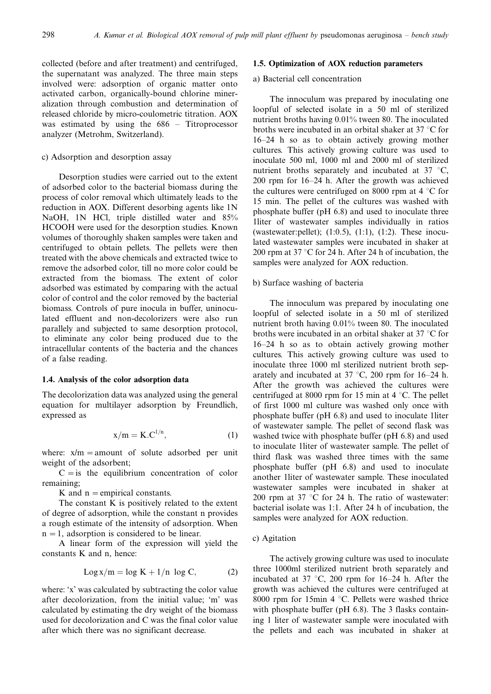collected (before and after treatment) and centrifuged, the supernatant was analyzed. The three main steps involved were: adsorption of organic matter onto activated carbon, organically-bound chlorine mineralization through combustion and determination of released chloride by micro-coulometric titration. AOX was estimated by using the 686 – Titroprocessor analyzer (Metrohm, Switzerland).

### c) Adsorption and desorption assay

Desorption studies were carried out to the extent of adsorbed color to the bacterial biomass during the process of color removal which ultimately leads to the reduction in AOX. Different desorbing agents like 1N NaOH, 1N HCl, triple distilled water and 85% HCOOH were used for the desorption studies. Known volumes of thoroughly shaken samples were taken and centrifuged to obtain pellets. The pellets were then treated with the above chemicals and extracted twice to remove the adsorbed color, till no more color could be extracted from the biomass. The extent of color adsorbed was estimated by comparing with the actual color of control and the color removed by the bacterial biomass. Controls of pure inocula in buffer, uninoculated effluent and non-decolorizers were also run parallely and subjected to same desorption protocol, to eliminate any color being produced due to the intracellular contents of the bacteria and the chances of a false reading.

### 1.4. Analysis of the color adsorption data

The decolorization data was analyzed using the general equation for multilayer adsorption by Freundlich, expressed as

$$
x/m = K.C^{1/n},\tag{1}
$$

where:  $x/m =$  amount of solute adsorbed per unit weight of the adsorbent;

 $C = iS$  the equilibrium concentration of color remaining;

K and  $n =$  empirical constants.

The constant K is positively related to the extent of degree of adsorption, while the constant n provides a rough estimate of the intensity of adsorption. When  $n = 1$ , adsorption is considered to be linear.

A linear form of the expression will yield the constants K and n, hence:

$$
Log x/m = log K + 1/n log C,
$$
 (2)

where: 'x' was calculated by subtracting the color value after decolorization, from the initial value; 'm' was calculated by estimating the dry weight of the biomass used for decolorization and C was the final color value after which there was no significant decrease.

### 1.5. Optimization of AOX reduction parameters

# a) Bacterial cell concentration

The innoculum was prepared by inoculating one loopful of selected isolate in a 50 ml of sterilized nutrient broths having 0.01% tween 80. The inoculated broths were incubated in an orbital shaker at  $37 \degree C$  for 16-24 h so as to obtain actively growing mother cultures. This actively growing culture was used to inoculate 500 ml, 1000 ml and 2000 ml of sterilized nutrient broths separately and incubated at  $37 \text{ °C}$ , 200 rpm for 16-24 h. After the growth was achieved the cultures were centrifuged on 8000 rpm at  $4^{\circ}$ C for 15 min. The pellet of the cultures was washed with phosphate buffer (pH 6.8) and used to inoculate three 1liter of wastewater samples individually in ratios (wastewater: pellet);  $(1:0.5)$ ,  $(1:1)$ ,  $(1:2)$ . These inoculated wastewater samples were incubated in shaker at 200 rpm at  $37 \text{ °C}$  for 24 h. After 24 h of incubation, the samples were analyzed for AOX reduction.

### b) Surface washing of bacteria

The innoculum was prepared by inoculating one loopful of selected isolate in a 50 ml of sterilized nutrient broth having 0.01% tween 80. The inoculated broths were incubated in an orbital shaker at  $37 \degree C$  for 16-24 h so as to obtain actively growing mother cultures. This actively growing culture was used to inoculate three 1000 ml sterilized nutrient broth separately and incubated at  $37 \degree C$ , 200 rpm for 16–24 h. After the growth was achieved the cultures were centrifuged at 8000 rpm for 15 min at  $4^{\circ}$ C. The pellet of first 1000 ml culture was washed only once with phosphate buffer (pH 6.8) and used to inoculate 1liter of wastewater sample. The pellet of second flask was washed twice with phosphate buffer (pH 6.8) and used to inoculate 1liter of wastewater sample. The pellet of third flask was washed three times with the same phosphate buffer (pH 6.8) and used to inoculate another 1liter of wastewater sample. These inoculated wastewater samples were incubated in shaker at 200 rpm at 37  $\degree$ C for 24 h. The ratio of wastewater: bacterial isolate was 1:1. After 24 h of incubation, the samples were analyzed for AOX reduction.

### c) Agitation

The actively growing culture was used to inoculate three 1000ml sterilized nutrient broth separately and incubated at 37  $\degree$ C, 200 rpm for 16–24 h. After the growth was achieved the cultures were centrifuged at 8000 rpm for 15min 4  $\degree$ C. Pellets were washed thrice with phosphate buffer (pH 6.8). The 3 flasks containing 1 liter of wastewater sample were inoculated with the pellets and each was incubated in shaker at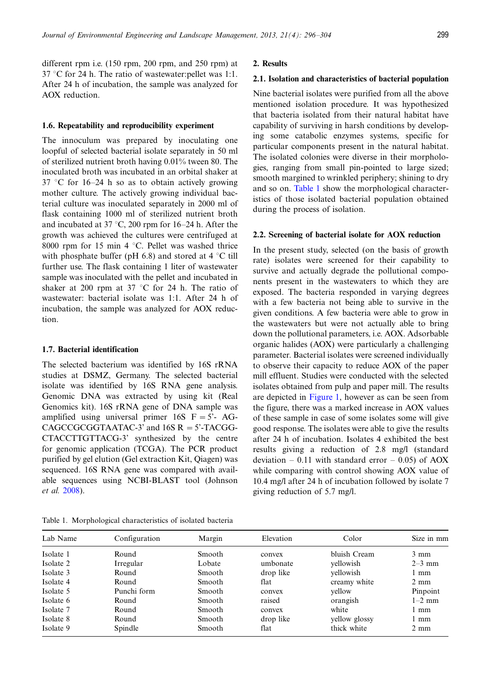different rpm i.e. (150 rpm, 200 rpm, and 250 rpm) at  $37 \text{ °C}$  for 24 h. The ratio of wastewater: pellet was 1:1. After 24 h of incubation, the sample was analyzed for AOX reduction.

### 1.6. Repeatability and reproducibility experiment

The innoculum was prepared by inoculating one loopful of selected bacterial isolate separately in 50 ml of sterilized nutrient broth having 0.01% tween 80. The inoculated broth was incubated in an orbital shaker at  $37 \text{ °C}$  for  $16-24$  h so as to obtain actively growing mother culture. The actively growing individual bacterial culture was inoculated separately in 2000 ml of flask containing 1000 ml of sterilized nutrient broth and incubated at 37 °C, 200 rpm for 16–24 h. After the growth was achieved the cultures were centrifuged at 8000 rpm for 15 min 4  $\degree$ C. Pellet was washed thrice with phosphate buffer (pH 6.8) and stored at  $4^{\circ}$ C till further use. The flask containing 1 liter of wastewater sample was inoculated with the pellet and incubated in shaker at 200 rpm at 37  $\degree$ C for 24 h. The ratio of wastewater: bacterial isolate was 1:1. After 24 h of incubation, the sample was analyzed for AOX reduction.

# 1.7. Bacterial identification

The selected bacterium was identified by 16S rRNA studies at DSMZ, Germany. The selected bacterial isolate was identified by 16S RNA gene analysis. Genomic DNA was extracted by using kit (Real Genomics kit). 16S rRNA gene of DNA sample was amplified using universal primer 16S  $F = 5'$ - AG- $CAGCCGGCGTAATAC-3'$  and  $16S \ R = 5'$ -TACGG-CTACCTTGTTACG-3' synthesized by the centre for genomic application (TCGA). The PCR product purified by gel elution (Gel extraction Kit, Qiagen) was sequenced. 16S RNA gene was compared with available sequences using NCBI-BLAST tool (Johnson et al. [2008](#page-7-0)).

#### 2. Results

### 2.1. Isolation and characteristics of bacterial population

Nine bacterial isolates were purified from all the above mentioned isolation procedure. It was hypothesized that bacteria isolated from their natural habitat have capability of surviving in harsh conditions by developing some catabolic enzymes systems, specific for particular components present in the natural habitat. The isolated colonies were diverse in their morphologies, ranging from small pin-pointed to large sized; smooth margined to wrinkled periphery; shining to dry and so on. Table 1 show the morphological characteristics of those isolated bacterial population obtained during the process of isolation.

### 2.2. Screening of bacterial isolate for AOX reduction

In the present study, selected (on the basis of growth rate) isolates were screened for their capability to survive and actually degrade the pollutional components present in the wastewaters to which they are exposed. The bacteria responded in varying degrees with a few bacteria not being able to survive in the given conditions. A few bacteria were able to grow in the wastewaters but were not actually able to bring down the pollutional parameters, i.e. AOX. Adsorbable organic halides (AOX) were particularly a challenging parameter. Bacterial isolates were screened individually to observe their capacity to reduce AOX of the paper mill effluent. Studies were conducted with the selected isolates obtained from pulp and paper mill. The results are depicted in [Figure 1](#page-4-0), however as can be seen from the figure, there was a marked increase in AOX values of these sample in case of some isolates some will give good response. The isolates were able to give the results after 24 h of incubation. Isolates 4 exhibited the best results giving a reduction of 2.8 mg/l (standard deviation  $-0.11$  with standard error  $-0.05$ ) of AOX while comparing with control showing AOX value of 10.4 mg/l after 24 h of incubation followed by isolate 7 giving reduction of 5.7 mg/l.

Table 1. Morphological characteristics of isolated bacteria

| Lab Name  | Configuration | Margin  | Elevation | Color         | Size in mm     |
|-----------|---------------|---------|-----------|---------------|----------------|
| Isolate 1 | Round         | Smooth  | convex    | bluish Cream  | $3 \text{ mm}$ |
| Isolate 2 | Irregular     | Lobate  | umbonate  | vellowish     | $2-3$ mm       |
| Isolate 3 | Round         | Smooth  | drop like | vellowish     | 1 mm           |
| Isolate 4 | Round         | Smooth. | flat      | creamy white  | $2 \text{ mm}$ |
| Isolate 5 | Punchi form   | Smooth  | convex    | yellow        | Pinpoint       |
| Isolate 6 | Round         | Smooth  | raised    | orangish      | $1-2$ mm       |
| Isolate 7 | Round         | Smooth  | convex    | white         | l mm           |
| Isolate 8 | Round         | Smooth  | drop like | yellow glossy | 1 mm           |
| Isolate 9 | Spindle       | Smooth  | flat      | thick white   | $2 \text{ mm}$ |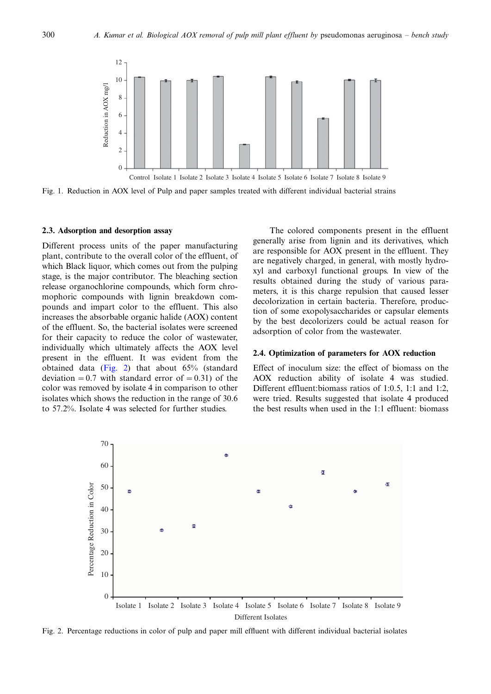<span id="page-4-0"></span>

Fig. 1. Reduction in AOX level of Pulp and paper samples treated with different individual bacterial strains

#### 2.3. Adsorption and desorption assay

Different process units of the paper manufacturing plant, contribute to the overall color of the effluent, of which Black liquor, which comes out from the pulping stage, is the major contributor. The bleaching section release organochlorine compounds, which form chromophoric compounds with lignin breakdown compounds and impart color to the effluent. This also increases the absorbable organic halide (AOX) content of the effluent. So, the bacterial isolates were screened for their capacity to reduce the color of wastewater, individually which ultimately affects the AOX level present in the effluent. It was evident from the obtained data (Fig. 2) that about 65% (standard deviation = 0.7 with standard error of = 0.31) of the color was removed by isolate 4 in comparison to other isolates which shows the reduction in the range of 30.6 to 57.2%. Isolate 4 was selected for further studies.

The colored components present in the effluent generally arise from lignin and its derivatives, which are responsible for AOX present in the effluent. They are negatively charged, in general, with mostly hydroxyl and carboxyl functional groups. In view of the results obtained during the study of various parameters, it is this charge repulsion that caused lesser decolorization in certain bacteria. Therefore, production of some exopolysaccharides or capsular elements by the best decolorizers could be actual reason for adsorption of color from the wastewater.

#### 2.4. Optimization of parameters for AOX reduction

Effect of inoculum size: the effect of biomass on the AOX reduction ability of isolate 4 was studied. Different effluent:biomass ratios of 1:0.5, 1:1 and 1:2, were tried. Results suggested that isolate 4 produced the best results when used in the 1:1 effluent: biomass



Fig. 2. Percentage reductions in color of pulp and paper mill effluent with different individual bacterial isolates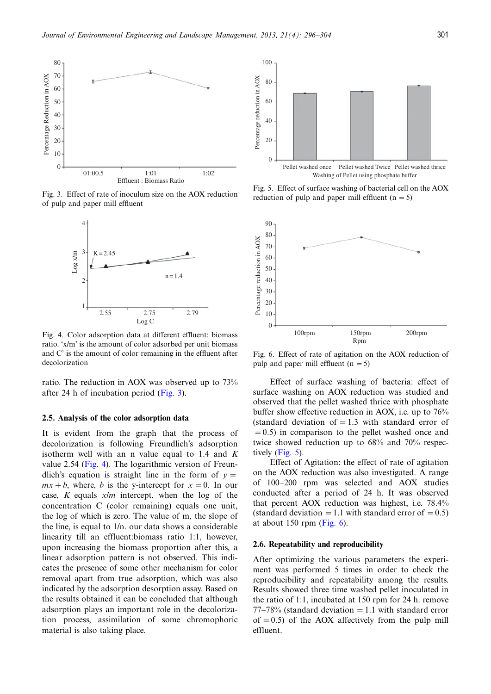

Fig. 3. Effect of rate of inoculum size on the AOX reduction of pulp and paper mill effluent



Fig. 4. Color adsorption data at different effluent: biomass ratio. 'x/m' is the amount of color adsorbed per unit biomass and C' is the amount of color remaining in the effluent after decolorization

ratio. The reduction in AOX was observed up to 73% after 24 h of incubation period (Fig. 3).

### 2.5. Analysis of the color adsorption data

It is evident from the graph that the process of decolorization is following Freundlich's adsorption isotherm well with an n value equal to 1.4 and  $K$ value 2.54 (Fig. 4). The logarithmic version of Freundlich's equation is straight line in the form of  $y =$  $mx + b$ , where, b is the y-intercept for  $x = 0$ . In our case,  $K$  equals  $x/m$  intercept, when the log of the concentration C (color remaining) equals one unit, the log of which is zero. The value of m, the slope of the line, is equal to 1/n. our data shows a considerable linearity till an effluent:biomass ratio 1:1, however, upon increasing the biomass proportion after this, a linear adsorption pattern is not observed. This indicates the presence of some other mechanism for color removal apart from true adsorption, which was also indicated by the adsorption desorption assay. Based on the results obtained it can be concluded that although adsorption plays an important role in the decolorization process, assimilation of some chromophoric material is also taking place.



Fig. 5. Effect of surface washing of bacterial cell on the AOX reduction of pulp and paper mill effluent  $(n = 5)$ 



Fig. 6. Effect of rate of agitation on the AOX reduction of pulp and paper mill effluent  $(n = 5)$ 

Effect of surface washing of bacteria: effect of surface washing on AOX reduction was studied and observed that the pellet washed thrice with phosphate buffer show effective reduction in AOX, i.e. up to 76% (standard deviation of  $= 1.3$  with standard error of  $(0.5)$  in comparison to the pellet washed once and twice showed reduction up to 68% and 70% respectively (Fig. 5).

Effect of Agitation: the effect of rate of agitation on the AOX reduction was also investigated. A range of 100-200 rpm was selected and AOX studies conducted after a period of 24 h. It was observed that percent AOX reduction was highest, i.e. 78.4% (standard deviation  $= 1.1$  with standard error of  $= 0.5$ ) at about 150 rpm (Fig.  $6$ ).

#### 2.6. Repeatability and reproducibility

After optimizing the various parameters the experiment was performed 5 times in order to check the reproducibility and repeatability among the results. Results showed three time washed pellet inoculated in the ratio of 1:1, incubated at 150 rpm for 24 h. remove  $77-78\%$  (standard deviation = 1.1 with standard error of  $= 0.5$ ) of the AOX affectively from the pulp mill effluent.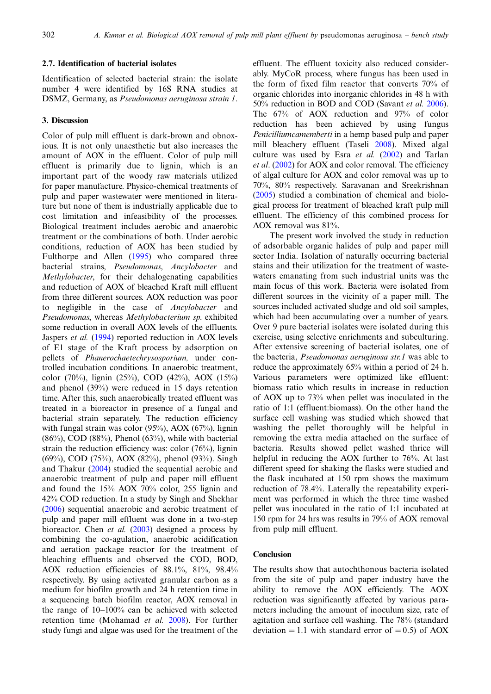### 2.7. Identification of bacterial isolates

Identification of selected bacterial strain: the isolate number 4 were identified by 16S RNA studies at DSMZ, Germany, as Pseudomonas aeruginosa strain 1.

# 3. Discussion

Color of pulp mill effluent is dark-brown and obnoxious. It is not only unaesthetic but also increases the amount of AOX in the effluent. Color of pulp mill effluent is primarily due to lignin, which is an important part of the woody raw materials utilized for paper manufacture. Physico-chemical treatments of pulp and paper wastewater were mentioned in literature but none of them is industrially applicable due to cost limitation and infeasibility of the processes. Biological treatment includes aerobic and anaerobic treatment or the combinations of both. Under aerobic conditions, reduction of AOX has been studied by Fulthorpe and Allen ([1995\)](#page-7-0) who compared three bacterial strains, Pseudomonas, Ancylobacter and Methylobacter, for their dehalogenating capabilities and reduction of AOX of bleached Kraft mill effluent from three different sources. AOX reduction was poor to negligible in the case of Ancylobacter and Pseudomonas, whereas Methylobacterium sp. exhibited some reduction in overall AOX levels of the effluents. Jaspers et al. ([1994\)](#page-7-0) reported reduction in AOX levels of E1 stage of the Kraft process by adsorption on pellets of Phanerochaetechrysosporium, under controlled incubation conditions. In anaerobic treatment, color (70%), lignin (25%), COD (42%), AOX (15%) and phenol (39%) were reduced in 15 days retention time. After this, such anaerobically treated effluent was treated in a bioreactor in presence of a fungal and bacterial strain separately. The reduction efficiency with fungal strain was color  $(95\%)$ , AOX  $(67\%)$ , lignin  $(86\%)$ , COD  $(88\%)$ , Phenol  $(63\%)$ , while with bacterial strain the reduction efficiency was: color  $(76%)$ , lignin (69%), COD (75%), AOX (82%), phenol (93%). Singh and Thakur ([2004\)](#page-8-0) studied the sequential aerobic and anaerobic treatment of pulp and paper mill effluent and found the 15% AOX 70% color, 255 lignin and 42% COD reduction. In a study by Singh and Shekhar [\(2006](#page-8-0)) sequential anaerobic and aerobic treatment of pulp and paper mill effluent was done in a two-step bioreactor. Chen *et al.*  $(2003)$  $(2003)$  $(2003)$  designed a process by combining the co-agulation, anaerobic acidification and aeration package reactor for the treatment of bleaching effluents and observed the COD, BOD, AOX reduction efficiencies of 88.1%, 81%, 98.4% respectively. By using activated granular carbon as a medium for biofilm growth and 24 h retention time in a sequencing batch biofilm reactor, AOX removal in the range of 10-100% can be achieved with selected retention time (Mohamad et al. [2008\)](#page-8-0). For further study fungi and algae was used for the treatment of the effluent. The effluent toxicity also reduced considerably. MyCoR process, where fungus has been used in the form of fixed film reactor that converts 70% of organic chlorides into inorganic chlorides in 48 h with 50% reduction in BOD and COD (Savant et al. [2006](#page-8-0)). The 67% of AOX reduction and 97% of color reduction has been achieved by using fungus Penicilliumcamemberti in a hemp based pulp and paper mill bleachery effluent (Taseli [2008\)](#page-8-0). Mixed algal culture was used by Esra et al. [\(2002](#page-7-0)) and Tarlan et al. ([2002\)](#page-8-0) for AOX and color removal. The efficiency of algal culture for AOX and color removal was up to 70%, 80% respectively. Saravanan and Sreekrishnan ([2005\)](#page-8-0) studied a combination of chemical and biological process for treatment of bleached kraft pulp mill effluent. The efficiency of this combined process for AOX removal was 81%.

The present work involved the study in reduction of adsorbable organic halides of pulp and paper mill sector India. Isolation of naturally occurring bacterial stains and their utilization for the treatment of wastewaters emanating from such industrial units was the main focus of this work. Bacteria were isolated from different sources in the vicinity of a paper mill. The sources included activated sludge and old soil samples, which had been accumulating over a number of years. Over 9 pure bacterial isolates were isolated during this exercise, using selective enrichments and subculturing. After extensive screening of bacterial isolates, one of the bacteria, Pseudomonas aeruginosa str.1 was able to reduce the approximately 65% within a period of 24 h. Various parameters were optimized like effluent: biomass ratio which results in increase in reduction of AOX up to 73% when pellet was inoculated in the ratio of 1:1 (effluent:biomass). On the other hand the surface cell washing was studied which showed that washing the pellet thoroughly will be helpful in removing the extra media attached on the surface of bacteria. Results showed pellet washed thrice will helpful in reducing the AOX further to 76%. At last different speed for shaking the flasks were studied and the flask incubated at 150 rpm shows the maximum reduction of 78.4%. Laterally the repeatability experiment was performed in which the three time washed pellet was inoculated in the ratio of 1:1 incubated at 150 rpm for 24 hrs was results in 79% of AOX removal from pulp mill effluent.

### Conclusion

The results show that autochthonous bacteria isolated from the site of pulp and paper industry have the ability to remove the AOX efficiently. The AOX reduction was significantly affected by various parameters including the amount of inoculum size, rate of agitation and surface cell washing. The 78% (standard deviation = 1.1 with standard error of = 0.5) of AOX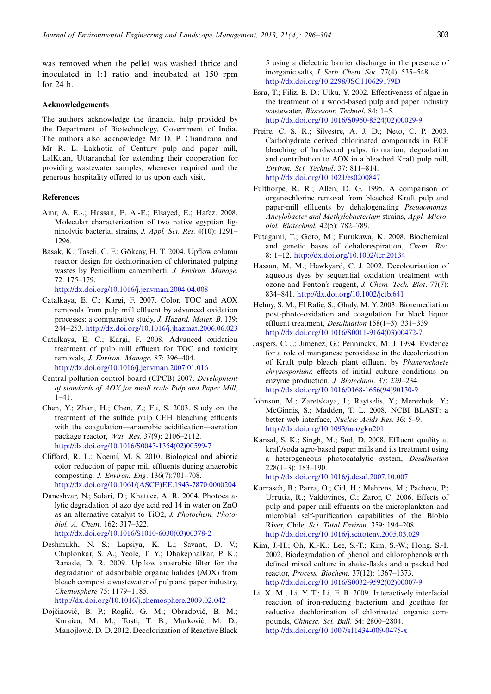<span id="page-7-0"></span>was removed when the pellet was washed thrice and inoculated in 1:1 ratio and incubated at 150 rpm for 24 h.

### Acknowledgements

The authors acknowledge the financial help provided by the Department of Biotechnology, Government of India. The authors also acknowledge Mr D. P. Chandrana and Mr R. L. Lakhotia of Century pulp and paper mill, LalKuan, Uttaranchal for extending their cooperation for providing wastewater samples, whenever required and the generous hospitality offered to us upon each visit.

### **References**

- Amr, A. E.-.; Hassan, E. A.-E.; Elsayed, E.; Hafez. 2008. Molecular characterization of two native egyptian ligninolytic bacterial strains, J. Appl. Sci. Res. 4(10): 1291- 1296.
- Basak, K.; Taseli, C. F.; Gökcay, H. T. 2004. Upflow column reactor design for dechlorination of chlorinated pulping wastes by Penicillium camemberti, J. Environ. Manage. 72: 175-179. <http://dx.doi.org/10.1016/j.jenvman.2004.04.008>
- Catalkaya, E. C.; Kargi, F. 2007. Color, TOC and AOX removals from pulp mill effluent by advanced oxidation processes: a comparative study, J. Hazard. Mater. B. 139: 244-253. <http://dx.doi.org/10.1016/j.jhazmat.2006.06.023>
- Catalkaya, E. C.; Kargi, F. 2008. Advanced oxidation treatment of pulp mill effluent for TOC and toxicity removals, J. Environ. Manage. 87: 396-404. <http://dx.doi.org/10.1016/j.jenvman.2007.01.016>
- Central pollution control board (CPCB) 2007. Development of standards of AOX for small scale Pulp and Paper Mill, 1-41.
- Chen, Y.; Zhan, H.; Chen, Z.; Fu, S. 2003. Study on the treatment of the sulfide pulp CEH bleaching effluents with the coagulation—anaerobic acidification—aeration package reactor, Wat. Res. 37(9): 2106-2112. [http://dx.doi.org/10.1016/S0043-1354\(02\)00599-7](http://dx.doi.org/10.1016/S0043-1354(02)00599-7)
- Clifford, R. L.; Noemí, M. S. 2010. Biological and abiotic color reduction of paper mill effluents during anaerobic composting, J. Environ. Eng. 136(7):701-708. [http://dx.doi.org/10.1061/\(ASCE\)EE.1943-7870.0000204](http://dx.doi.org/10.1061/(ASCE)EE.1943-7870.0000204)
- Daneshvar, N.; Salari, D.; Khataee, A. R. 2004. Photocatalytic degradation of azo dye acid red 14 in water on ZnO as an alternative catalyst to TiO2, J. Photochem. Photobiol. A. Chem. 162: 317-322. [http://dx.doi.org/10.1016/S1010-6030\(03\)00378-2](http://dx.doi.org/10.1016/S1010-6030(03)00378-2)
- Deshmukh, N. S.; Lapsiya, K. L.; Savant, D. V.; Chiplonkar, S. A.; Yeole, T. Y.; Dhakephalkar, P. K.; Ranade, D. R. 2009. Upflow anaerobic filter for the degradation of adsorbable organic halides (AOX) from bleach composite wastewater of pulp and paper industry, Chemosphere 75: 1179-1185. <http://dx.doi.org/10.1016/j.chemosphere.2009.02.042>
- Dojčinović, B. P.; Roglić, G. M.; Obradović, B. M.; Kuraica, M. M.; Tosti, T. B.; Marković, M. D.; Manojlović, D. D. 2012. Decolorization of Reactive Black

5 using a dielectric barrier discharge in the presence of inorganic salts, J. Serb. Chem. Soc. 77(4): 535-548. <http://dx.doi.org/10.2298/JSC110629179D>

- Esra, T.; Filiz, B. D.; Ulku, Y. 2002. Effectiveness of algae in the treatment of a wood-based pulp and paper industry wastewater, Bioresour. Technol. 84: 1-5. [http://dx.doi.org/10.1016/S0960-8524\(02\)00029-9](http://dx.doi.org/10.1016/S0960-8524(02)00029-9)
- Freire, C. S. R.; Silvestre, A. J. D.; Neto, C. P. 2003. Carbohydrate derived chlorinated compounds in ECF bleaching of hardwood pulps: formation, degradation and contribution to AOX in a bleached Kraft pulp mill, Environ. Sci. Technol. 37: 811-814. <http://dx.doi.org/10.1021/es0200847>
- Fulthorpe, R. R.; Allen, D. G. 1995. A comparison of organochlorine removal from bleached Kraft pulp and paper-mill effluents by dehalogenating Pseudomonas, Ancylobacter and Methylobacterium strains, Appl. Microbiol. Biotechnol. 42(5): 782-789.
- Futagami, T.; Goto, M.; Furukawa, K. 2008. Biochemical and genetic bases of dehalorespiration, Chem. Rec. 8: 1-12. <http://dx.doi.org/10.1002/tcr.20134>
- Hassan, M. M.; Hawkyard, C. J. 2002. Decolourisation of aqueous dyes by sequential oxidation treatment with ozone and Fenton's reagent, J. Chem. Tech. Biot. 77(7): 834-841. <http://dx.doi.org/10.1002/jctb.641>
- Helmy, S. M.; El Rafie, S.; Ghaly, M. Y. 2003. Bioremediation post-photo-oxidation and coagulation for black liquor effluent treatment, *Desalination* 158(1–3): 331–339. [http://dx.doi.org/10.1016/S0011-9164\(03\)00472-7](http://dx.doi.org/10.1016/S0011-9164(03)00472-7)
- Jaspers, C. J.; Jimenez, G.; Penninckx, M. J. 1994. Evidence for a role of manganese peroxidase in the decolorization of Kraft pulp bleach plant effluent by Phanerochaete chrysosporium: effects of initial culture conditions on enzyme production, *J. Biotechnol*. 37: 229–234. [http://dx.doi.org/10.1016/0168-1656\(94\)90130-9](http://dx.doi.org/10.1016/0168-1656(94)90130-9)
- Johnson, M.; Zaretskaya, I.; Raytselis, Y.; Merezhuk, Y.; McGinnis, S.; Madden, T. L. 2008. NCBI BLAST: a better web interface, Nucleic Acids Res. 36: 5–9. <http://dx.doi.org/10.1093/nar/gkn201>
- Kansal, S. K.; Singh, M.; Sud, D. 2008. Effluent quality at kraft/soda agro-based paper mills and its treatment using a heterogeneous photocatalytic system, Desalination 228(1-3): 183-190.
	- <http://dx.doi.org/10.1016/j.desal.2007.10.007>
- Karrasch, B.; Parra, O.; Cid, H.; Mehrens, M.; Pacheco, P.; Urrutia, R.; Valdovinos, C.; Zaror, C. 2006. Effects of pulp and paper mill effuents on the microplankton and microbial self-purification capabilities of the Biobio River, Chile, Sci. Total Environ. 359: 194-208. <http://dx.doi.org/10.1016/j.scitotenv.2005.03.029>
- Kim, J.-H.; Oh, K.-K.; Lee, S.-T.; Kim, S.-W.; Hong, S.-I. 2002. Biodegradation of phenol and chlorophenols with defined mixed culture in shake-flasks and a packed bed reactor, Process. Biochem. 37(12): 1367-1373. [http://dx.doi.org/10.1016/S0032-9592\(02\)00007-9](http://dx.doi.org/10.1016/S0032-9592(02)00007-9)
- Li, X. M.; Li, Y. T.; Li, F. B. 2009. Interactively interfacial reaction of iron-reducing bacterium and goethite for reductive dechlorination of chlorinated organic compounds, Chinese. Sci. Bull. 54: 2800-2804. <http://dx.doi.org/10.1007/s11434-009-0475-x>